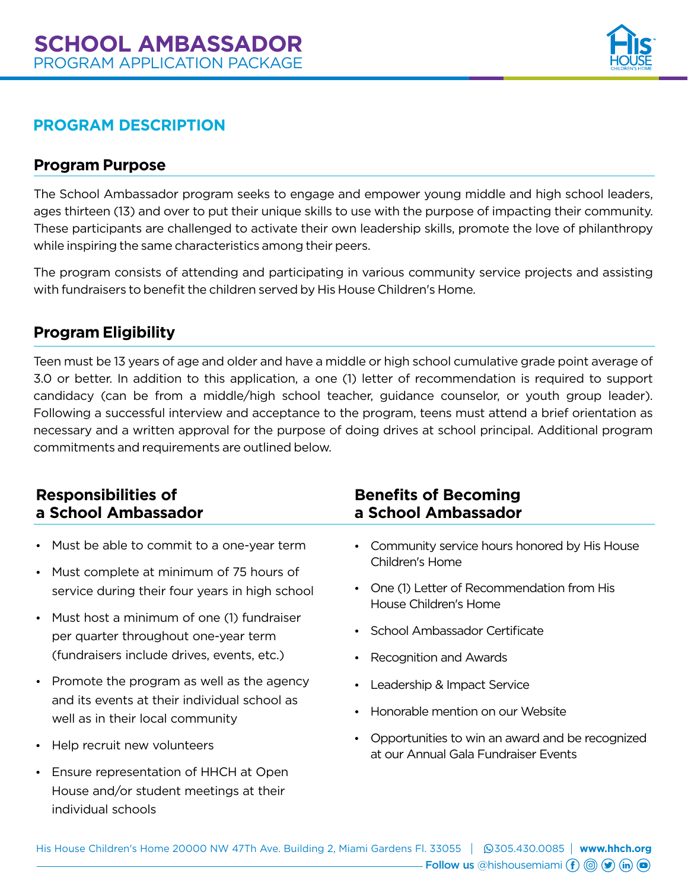

# *PROGRAM DESCRIPTION*

### *Program Purpose*

The School Ambassador program seeks to engage and empower young middle and high school leaders, ages thirteen (13) and over to put their unique skills to use with the purpose of impacting their community. These participants are challenged to activate their own leadership skills, promote the love of philanthropy while inspiring the same characteristics among their peers.

The program consists of attending and participating in various community service projects and assisting with fundraisers to benefit the children served by His House Children's Home.

### *Program Eligibility*

Teen must be 13 years of age and older and have a middle or high school cumulative grade point average of 3.0 or better. In addition to this application, a one (1) letter of recommendation is required to support candidacy (can be from a middle/high school teacher, guidance counselor, or youth group leader). Following a successful interview and acceptance to the program, teens must attend a brief orientation as necessary and a written approval for the purpose of doing drives at school principal. Additional program commitments and requirements are outlined below.

| <b>Responsibilities of</b><br>a School Ambassador                                                                                                                                                                                                                  | <b>Benefits of Becoming</b><br>a School Ambassador                                                                                                                     |
|--------------------------------------------------------------------------------------------------------------------------------------------------------------------------------------------------------------------------------------------------------------------|------------------------------------------------------------------------------------------------------------------------------------------------------------------------|
| Must be able to commit to a one-year term<br>$\bullet$<br>Must complete at minimum of 75 hours of<br>$\bullet$<br>service during their four years in high school<br>Must host a minimum of one (1) fundraiser<br>$\bullet$<br>per quarter throughout one-year term | Community service hours honored by His House<br>Children's Home<br>One (1) Letter of Recommendation from His<br>House Children's Home<br>School Ambassador Certificate |
| (fundraisers include drives, events, etc.)                                                                                                                                                                                                                         | Recognition and Awards                                                                                                                                                 |
| Promote the program as well as the agency<br>$\bullet$<br>and its events at their individual school as<br>well as in their local community<br>Help recruit new volunteers<br>$\bullet$                                                                             | Leadership & Impact Service<br>Honorable mention on our Website<br>Opportunities to win an award and be recognized                                                     |
| Ensure representation of HHCH at Open<br>$\bullet$<br>House and/or student meetings at their<br>individual schools                                                                                                                                                 | at our Annual Gala Fundraiser Events                                                                                                                                   |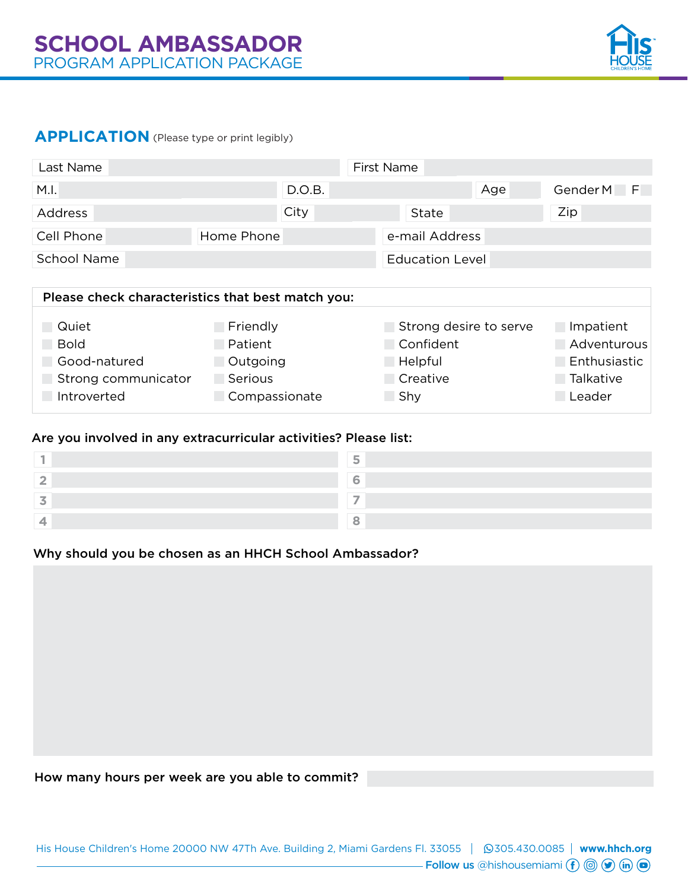

### **APPLICATION** (Please type or print legibly)

| Last Name          |                                                   | First Name             |            |
|--------------------|---------------------------------------------------|------------------------|------------|
| M.I.               | D.O.B.                                            | Age                    | Gender M F |
| Address            | City                                              | State                  | Zip        |
| Cell Phone         | Home Phone                                        | e-mail Address         |            |
| <b>School Name</b> |                                                   | <b>Education Level</b> |            |
|                    | Dlosso aboals above the tige that best match vous |                        |            |

| Please check characteristics that best match you: |               |                        |              |
|---------------------------------------------------|---------------|------------------------|--------------|
|                                                   |               |                        |              |
| Quiet                                             | Friendly      | Strong desire to serve | Impatient    |
| <b>Bold</b>                                       | Patient       | Confident              | Adventurous  |
| Good-natured                                      | Outgoing      | Helpful                | Enthusiastic |
| Strong communicator                               | Serious       | Creative               | Talkative    |
| Introverted                                       | Compassionate | Shy                    | Leader       |

#### Are you involved in any extracurricular activities? Please list:

#### Why should you be chosen as an HHCH School Ambassador?

How many hours per week are you able to commit?